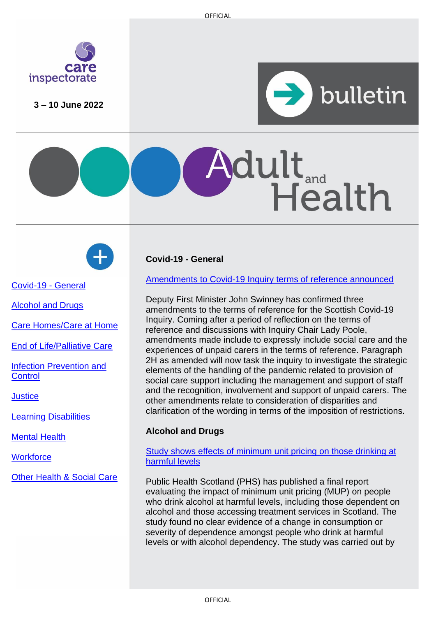

**3 – 10 June 2022**







Covid-19 - General

[Alcohol and Drugs](#page-0-0)

[Care Homes/Care at Home](#page-1-0)

[End of Life/Palliative Care](#page-1-1)

[Infection Prevention and](#page-1-2) **[Control](#page-1-2)** 

**[Justice](#page-1-3)** 

[Learning Disabilities](#page-2-0)

[Mental Health](#page-2-1)

**[Workforce](#page-3-0)** 

[Other Health & Social Care](#page-4-0)

# <span id="page-0-0"></span>**Covid-19 - General**

[Amendments to Covid-19 Inquiry terms of reference announced](https://www.covid19inquiry.scot/news/additions-inquirys-terms-reference)

Deputy First Minister John Swinney has confirmed three amendments to the terms of reference for the Scottish Covid-19 Inquiry. Coming after a period of reflection on the terms of reference and discussions with Inquiry Chair Lady Poole, amendments made include to expressly include social care and the experiences of unpaid carers in the terms of reference. Paragraph 2H as amended will now task the inquiry to investigate the strategic elements of the handling of the pandemic related to provision of social care support including the management and support of staff and the recognition, involvement and support of unpaid carers. The other amendments relate to consideration of disparities and clarification of the wording in terms of the imposition of restrictions.

## **Alcohol and Drugs**

Study shows effects of [minimum unit pricing](https://publichealthscotland.scot/news/2022/june/final-report-published-on-the-impact-of-mup-on-people-drinking-at-harmful-levels-including-those-dependent-on-alcohol/) on those drinking at [harmful levels](https://publichealthscotland.scot/news/2022/june/final-report-published-on-the-impact-of-mup-on-people-drinking-at-harmful-levels-including-those-dependent-on-alcohol/)

Public Health Scotland (PHS) has published a final report evaluating the impact of minimum unit pricing (MUP) on people who drink alcohol at harmful levels, including those dependent on alcohol and those accessing treatment services in Scotland. The study found no clear evidence of a change in consumption or severity of dependence amongst people who drink at harmful levels or with alcohol dependency. The study was carried out by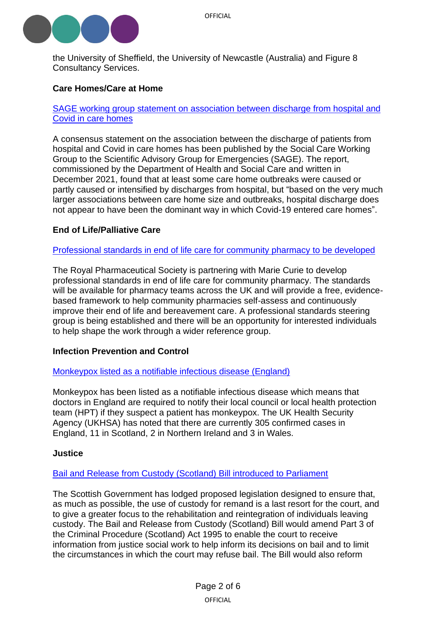

<span id="page-1-0"></span>the University of Sheffield, the University of Newcastle (Australia) and Figure 8 Consultancy Services.

## **Care Homes/Care at Home**

SAGE working group statement [on association between discharge from hospital and](https://www.gov.uk/government/publications/the-association-between-the-discharge-of-patients-from-hospitals-and-covid-in-care-homes/consensus-statement-on-the-association-between-the-discharge-of-patients-from-hospitals-and-covid-in-care-homes)  [Covid in care homes](https://www.gov.uk/government/publications/the-association-between-the-discharge-of-patients-from-hospitals-and-covid-in-care-homes/consensus-statement-on-the-association-between-the-discharge-of-patients-from-hospitals-and-covid-in-care-homes)

A consensus statement on the association between the discharge of patients from hospital and Covid in care homes has been published by the Social Care Working Group to the Scientific Advisory Group for Emergencies (SAGE). The report, commissioned by the Department of Health and Social Care and written in December 2021, found that at least some care home outbreaks were caused or partly caused or intensified by discharges from hospital, but "based on the very much larger associations between care home size and outbreaks, hospital discharge does not appear to have been the dominant way in which Covid-19 entered care homes".

### <span id="page-1-1"></span>**End of Life/Palliative Care**

[Professional standards in end of life care for community pharmacy](https://www.rpharms.com/about-us/news/details/new-standards-on-end-of-life-care-with-cancer-charity-marie-curie) to be developed

The Royal Pharmaceutical Society is partnering with Marie Curie to develop professional standards in end of life care for community pharmacy. The standards will be available for pharmacy teams across the UK and will provide a free, evidencebased framework to help community pharmacies self-assess and continuously improve their end of life and bereavement care. A professional standards steering group is being established and there will be an opportunity for interested individuals to help shape the work through a wider reference group.

#### <span id="page-1-2"></span>**Infection Prevention and Control**

#### [Monkeypox listed as a notifiable infectious disease \(England\)](https://www.gov.uk/government/news/monkeypox-cases-confirmed-in-england-latest-updates)

Monkeypox has been listed as a notifiable infectious disease which means that doctors in England are required to notify their local council or local health protection team (HPT) if they suspect a patient has monkeypox. The UK Health Security Agency (UKHSA) has noted that there are currently 305 confirmed cases in England, 11 in Scotland, 2 in Northern Ireland and 3 in Wales.

#### <span id="page-1-3"></span>**Justice**

#### [Bail and Release from Custody \(Scotland\) Bill introduced to Parliament](https://www.parliament.scot/bills-and-laws/bills/bail-and-release-from-custody-scotland-bill/introduced)

The Scottish Government has lodged proposed legislation designed to ensure that, as much as possible, the use of custody for remand is a last resort for the court, and to give a greater focus to the rehabilitation and reintegration of individuals leaving custody. The Bail and Release from Custody (Scotland) Bill would amend Part 3 of the Criminal Procedure (Scotland) Act 1995 to enable the court to receive information from justice social work to help inform its decisions on bail and to limit the circumstances in which the court may refuse bail. The Bill would also reform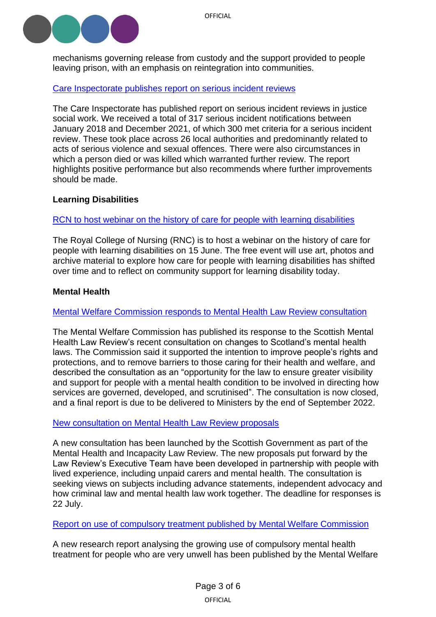

mechanisms governing release from custody and the support provided to people leaving prison, with an emphasis on reintegration into communities.

### [Care Inspectorate publishes report on serious](https://www.careinspectorate.com/index.php/news/6696-serious-incident-reviews) incident reviews

The Care Inspectorate has published report on serious incident reviews in justice social work. We received a total of 317 serious incident notifications between January 2018 and December 2021, of which 300 met criteria for a serious incident review. These took place across 26 local authorities and predominantly related to acts of serious violence and sexual offences. There were also circumstances in which a person died or was killed which warranted further review. The report highlights positive performance but also recommends where further improvements should be made.

### <span id="page-2-0"></span>**Learning Disabilities**

### [RCN to host webinar on the history of care for people with learning disabilities](https://www.rcn.org.uk/news-and-events/events/lib-history-of-care-150622)

The Royal College of Nursing (RNC) is to host a webinar on the history of care for people with learning disabilities on 15 June. The free event will use art, photos and archive material to explore how care for people with learning disabilities has shifted over time and to reflect on community support for learning disability today.

### <span id="page-2-1"></span>**Mental Health**

### Mental Welfare Commission responds [to Mental Health Law Review consultation](https://www.mwcscot.org.uk/news/scotlands-mental-health-law-review-mental-welfare-commission-response)

The Mental Welfare Commission has published its response to the Scottish Mental Health Law Review's recent consultation on changes to Scotland's mental health laws. The Commission said it supported the intention to improve people's rights and protections, and to remove barriers to those caring for their health and welfare, and described the consultation as an "opportunity for the law to ensure greater visibility and support for people with a mental health condition to be involved in directing how services are governed, developed, and scrutinised". The consultation is now closed, and a final report is due to be delivered to Ministers by the end of September 2022.

#### [New consultation on Mental Health Law Review proposals](https://consult.gov.scot/mental-health-law-secretariat/forensic-proposals/)

A new consultation has been launched by the Scottish Government as part of the Mental Health and Incapacity Law Review. The new proposals put forward by the Law Review's Executive Team have been developed in partnership with people with lived experience, including unpaid carers and mental health. The consultation is seeking views on subjects including advance statements, independent advocacy and how criminal law and mental health law work together. The deadline for responses is 22 July.

#### Report on use of compulsory treatment [published by Mental Welfare Commission](https://www.mwcscot.org.uk/news/compulsory-treatment-mental-ill-health-scotland-analysis-inform-future-law-reform)

A new research report analysing the growing use of compulsory mental health treatment for people who are very unwell has been published by the Mental Welfare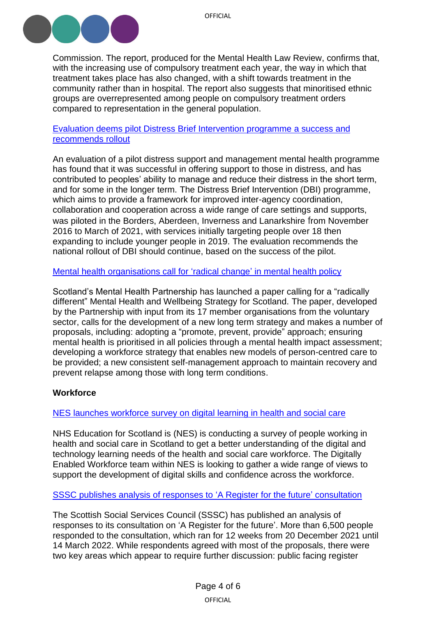

Commission. The report, produced for the Mental Health Law Review, confirms that, with the increasing use of compulsory treatment each year, the way in which that treatment takes place has also changed, with a shift towards treatment in the community rather than in hospital. The report also suggests that minoritised ethnic groups are overrepresented among people on compulsory treatment orders compared to representation in the general population.

### [Evaluation deems pilot Distress Brief Intervention programme](https://www.gov.scot/publications/evaluation-distress-brief-intervention-pilot-programme/pages/2/) a success and [recommends](https://www.gov.scot/publications/evaluation-distress-brief-intervention-pilot-programme/pages/2/) rollout

An evaluation of a pilot distress support and management mental health programme has found that it was successful in offering support to those in distress, and has contributed to peoples' ability to manage and reduce their distress in the short term, and for some in the longer term. The Distress Brief Intervention (DBI) programme, which aims to provide a framework for improved inter-agency coordination, collaboration and cooperation across a wide range of care settings and supports, was piloted in the Borders, Aberdeen, Inverness and Lanarkshire from November 2016 to March of 2021, with services initially targeting people over 18 then expanding to include younger people in 2019. The evaluation recommends the national rollout of DBI should continue, based on the success of the pilot.

[Mental health organisations call for](https://www.smhp.scot/post/paper-calling-for-radical-change-in-mental-health-policy-launched) 'radical change' in mental health policy

Scotland's Mental Health Partnership has launched a paper calling for a "radically different" Mental Health and Wellbeing Strategy for Scotland. The paper, developed by the Partnership with input from its 17 member organisations from the voluntary sector, calls for the development of a new long term strategy and makes a number of proposals, including: adopting a "promote, prevent, provide" approach; ensuring mental health is prioritised in all policies through a mental health impact assessment; developing a workforce strategy that enables new models of person-centred care to be provided; a new consistent self-management approach to maintain recovery and prevent relapse among those with long term conditions.

## <span id="page-3-0"></span>**Workforce**

NES launches [workforce survey on digital learning in health and social care](https://www.nes.scot.nhs.uk/news/digital-learning-in-health-and-social-care-survey/)

NHS Education for Scotland is (NES) is conducting a survey of people working in health and social care in Scotland to get a better understanding of the digital and technology learning needs of the health and social care workforce. The Digitally Enabled Workforce team within NES is looking to gather a wide range of views to support the development of digital skills and confidence across the workforce.

SSSC publishes [analysis of responses to 'A Register for the future'](https://news.sssc.uk.com/news/consultation-response-register-future) consultation

The Scottish Social Services Council (SSSC) has published an analysis of responses to its consultation on 'A Register for the future'. More than 6,500 people responded to the consultation, which ran for 12 weeks from 20 December 2021 until 14 March 2022. While respondents agreed with most of the proposals, there were two key areas which appear to require further discussion: public facing register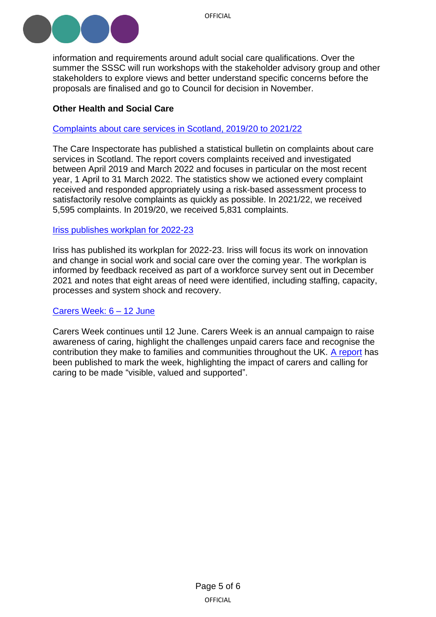

information and requirements around adult social care qualifications. Over the summer the SSSC will run workshops with the stakeholder advisory group and other stakeholders to explore views and better understand specific concerns before the proposals are finalised and go to Council for decision in November.

## <span id="page-4-0"></span>**Other Health and Social Care**

### [Complaints about care services in Scotland, 2019/20 to 2021/22](https://www.careinspectorate.com/index.php/news/6712-complaints-about-care-services-in-scotland-2019-20-to-2021-22)

The Care Inspectorate has published a statistical bulletin on complaints about care services in Scotland. The report covers complaints received and investigated between April 2019 and March 2022 and focuses in particular on the most recent year, 1 April to 31 March 2022. The statistics show we actioned every complaint received and responded appropriately using a risk-based assessment process to satisfactorily resolve complaints as quickly as possible. In 2021/22, we received 5,595 complaints. In 2019/20, we received 5,831 complaints.

### Iriss publishes [workplan for 2022-23](https://www.iriss.org.uk/news/news/2022/06/01/our-plans-2022-23)

Iriss has published its workplan for 2022-23. Iriss will focus its work on innovation and change in social work and social care over the coming year. The workplan is informed by feedback received as part of a workforce survey sent out in December 2021 and notes that eight areas of need were identified, including staffing, capacity, processes and system shock and recovery.

#### [Carers Week:](https://www.carersweek.org/) 6 – 12 June

Carers Week continues until 12 June. Carers Week is an annual campaign to raise awareness of caring, highlight the challenges unpaid carers face and recognise the contribution they make to families and communities throughout the UK. [A report](https://www.carersweek.org/about-carers-week/latest-news/posts-folder/2022/june/make-caring-visible-valued-and-supported-carers-week-2022-report/) has been published to mark the week, highlighting the impact of carers and calling for caring to be made "visible, valued and supported".